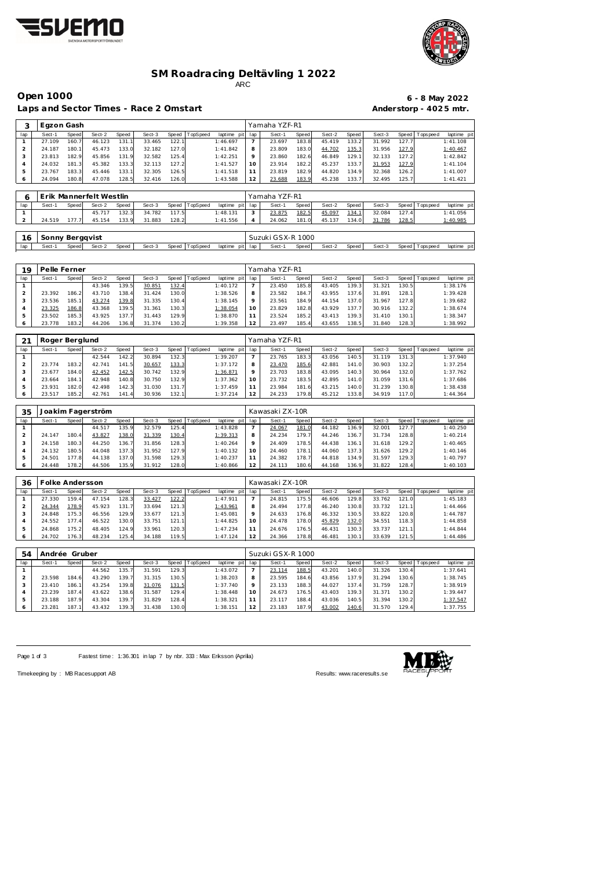



#### **SM Roadracing Deltävling 1 2022** ARC

Open 1000<br> **Community 1000**<br> **Community 1000**<br> **Community 1000**<br> **Community 1000**<br> **Community 1000**<br> **Community 1005**<br> **Community 1005**<br> **Community 1005**<br> **Community 1005** Laps and S

|                | aps and Sector Times - Race 2 Omstart. |              |                         |       |        |       |          |                |                |                   |       |        |       |        |       | Anderstorp - 4025 mtr. |             |
|----------------|----------------------------------------|--------------|-------------------------|-------|--------|-------|----------|----------------|----------------|-------------------|-------|--------|-------|--------|-------|------------------------|-------------|
| 3              | Egzon Gash                             |              |                         |       |        |       |          |                |                | Yamaha YZF-R1     |       |        |       |        |       |                        |             |
| lap            | Sect-1                                 | Speed        | Sect-2                  | Speed | Sect-3 | Speed | TopSpeed | laptime<br>pit | lap            | Sect-1            | Speed | Sect-2 | Speed | Sect-3 | Speed | Tops peed              | laptime pit |
|                | 27.109                                 | 160.7        | 46.123                  | 131.1 | 33.465 | 122.1 |          | 1:46.697       | $\overline{7}$ | 23.697            | 183.8 | 45.419 | 133.2 | 31.992 | 127.7 |                        | 1:41.108    |
| $\overline{2}$ | 24.187                                 | 180.1        | 45.473                  | 133.0 | 32.182 | 127.0 |          | 1:41.842       | 8              | 23.809            | 183.0 | 44.702 | 135.3 | 31.956 | 127.9 |                        | 1:40.467    |
| 3              | 23.813                                 | 182.9        | 45.856                  | 131.9 | 32.582 | 125.4 |          | 1:42.251       | 9              | 23.860            | 182.6 | 46.849 | 129.1 | 32.133 | 127.2 |                        | 1:42.842    |
| 4              | 24.032                                 | 181.3        | 45.382                  | 133.3 | 32.113 | 127.2 |          | 1:41.527       | 10             | 23.914            | 182.2 | 45.237 | 133.7 | 31.953 | 127.9 |                        | 1:41.104    |
| 5              | 23.767                                 | 183.3        | 45.446                  | 133.1 | 32.305 | 126.5 |          | 1:41.518       | 11             | 23.819            | 182.9 | 44.820 | 134.9 | 32.368 | 126.2 |                        | 1:41.007    |
| 6              | 24.094                                 | 180.8        | 47.078                  | 128.5 | 32.416 | 126.0 |          | 1:43.588       | 12             | 23.688            | 183.9 | 45.238 | 133.7 | 32.495 | 125.7 |                        | 1:41.421    |
|                |                                        |              |                         |       |        |       |          |                |                |                   |       |        |       |        |       |                        |             |
| 6              |                                        |              | Erik Mannerfelt Westlin |       |        |       |          |                |                | Yamaha YZF-R1     |       |        |       |        |       |                        |             |
| lap            | Sect-1                                 | <b>Speed</b> | Sect-2                  | Speed | Sect-3 | Speed | TopSpeed | laptime<br>pit | lap            | Sect-1            | Speed | Sect-2 | Speed | Sect-3 | Speed | Tops peed              | laptime pit |
|                |                                        |              |                         |       |        |       |          |                |                |                   |       |        |       |        |       |                        |             |
|                |                                        |              | 45.717                  | 132.3 | 34.782 | 117.5 |          | 1:48.131       | 3              | 23.875            | 182.5 | 45.097 | 134.1 | 32.084 | 127.4 |                        | 1:41.056    |
| 2              | 24.519                                 | 177.7        | 45.154                  | 133.9 | 31.883 | 128.2 |          | 1:41.556       | 4              | 24.062            | 181.0 | 45.137 | 134.0 | 31.786 | 128.5 |                        | 1:40.985    |
|                |                                        |              |                         |       |        |       |          |                |                |                   |       |        |       |        |       |                        |             |
| 16             | Sonny Bergqvist                        |              |                         |       |        |       |          |                |                | Suzuki GSX-R 1000 |       |        |       |        |       |                        |             |
| lap            | Sect-1                                 | Speed        | Sect-2                  | Speed | Sect-3 | Speed | TopSpeed | laptime<br>pit | lap            | Sect-1            | Speed | Sect-2 | Speed | Sect-3 | Speed | Tops peed              | laptime pit |

| 19  | Pelle Ferner |       |        |       |        |                    |                 |                |     | Yamaha YZF-R1 |       |        |                    |        |       |            |             |  |
|-----|--------------|-------|--------|-------|--------|--------------------|-----------------|----------------|-----|---------------|-------|--------|--------------------|--------|-------|------------|-------------|--|
| lap | Sect-1       | Speed | Sect-2 | Speed | Sect-3 | Speed              | <b>TopSpeed</b> | laptime<br>pit | lap | Sect-1        | Speed | Sect-2 | Speed              | Sect-3 | Speed | Tops pee d | laptime pit |  |
|     |              |       | 43.346 | 139.5 | 30.851 | 132.4              |                 | 1:40.172       |     | 23.450        | 185.8 | 43.405 | 139.3 <sub>1</sub> | 31.321 | 130.5 |            | 1:38.176    |  |
|     | 23.392       | 186.2 | 43.710 | 138.4 | 31.424 | 130.0              |                 | 1:38.526       |     | 23.582        | 184.7 | 43.955 | 137.61             | 31.891 | 128.1 |            | 1:39.428    |  |
|     | 23.536       | 185.1 | 43.274 | 139.8 | 31.335 | 130.4              |                 | 1:38.145       |     | 23.561        | 184.9 | 44.154 | 137.01             | 31.967 | 127.8 |            | 1:39.682    |  |
|     | 23.325       | 186.8 | 43.368 | 139.5 | 31.361 | 130.3              |                 | 1:38.054       |     | 23.829        | 182.8 | 43.929 | 137.7 <sub>1</sub> | 30.916 | 132.2 |            | 1:38.674    |  |
|     | 23.502       | 185.3 | 43.925 | 137.7 | 31.443 | 129.9 <sub>1</sub> |                 | 1:38.870       |     | 23.524        | 185.2 | 43.413 | 139.3 <sub>1</sub> | 31.410 | 130.1 |            | 1:38.347    |  |
|     | 23.778       | 183.2 | 44.206 | 136.8 | 31.374 | 130.2              |                 | 1:39.358       |     | 23.497        | 185.4 | 43.655 | 138.5              | 31.840 | 128.3 |            | 1:38.992    |  |

| 21      | Roger Berglund |       |        |       |        |       |          |                |     | Yamaha YZF-R1 |       |        |       |        |       |                 |             |
|---------|----------------|-------|--------|-------|--------|-------|----------|----------------|-----|---------------|-------|--------|-------|--------|-------|-----------------|-------------|
| lap     | Sect-1         | Speed | Sect-2 | Speed | Sect-3 | Speed | TopSpeed | laptime<br>pit | lap | Sect-1        | Speed | Sect-2 | Speed | Sect-3 |       | Speed Tops peed | laptime pit |
|         |                |       | 42.544 | 142.2 | 30.894 | 132.3 |          | 1:39.207       |     | 23.765        | 183.3 | 43.056 | 140.5 | 31.119 | 131.3 |                 | 1:37.940    |
|         | 23.774         | 183.2 | 42.741 | 141.5 | 30.657 | 133.3 |          | 1:37.172       | 8   | 23.470        | 185.6 | 42.881 | 141.0 | 30.903 | 132.2 |                 | 1:37.254    |
|         | 23.677         | 184.0 | 42.452 | 142.5 | 30.742 | 132.9 |          | 1:36.871       | 9   | 23.703        | 183.8 | 43.095 | 140.3 | 30.964 | 132.0 |                 | 1:37.762    |
|         | 23.664         | 184.1 | 42.948 | 140.8 | 30.750 | 132.9 |          | 1:37.362       | 10  | 23.732        | 183.5 | 42.895 | 141.0 | 31.059 | 131.6 |                 | 1:37.686    |
| 5       | 23.931         | 182.0 | 42.498 | 142.3 | 31.030 | 131.7 |          | 1:37.459       |     | 23.984        | 181.6 | 43.215 | 140.0 | 31.239 | 130.8 |                 | 1:38.438    |
| $\circ$ | 23.517         | 185.2 | 42.761 | 141.4 | 30.936 | 132.1 |          | 1:37.214       | 12  | 24.233        | 179.8 | 45.212 | 133.8 | 34.919 | 117.0 |                 | 1:44.364    |

| 35  |        |       | Joakim Fagerström |       |        |       |          |                |         | Kawasaki ZX-10R |              |        |       |        |       |                 |             |
|-----|--------|-------|-------------------|-------|--------|-------|----------|----------------|---------|-----------------|--------------|--------|-------|--------|-------|-----------------|-------------|
| lap | Sect-1 | Speed | Sect-2            | Speed | Sect-3 | Speed | TopSpeed | laptime<br>pit | lap     | Sect-1          | <b>Speed</b> | Sect-2 | Speed | Sect-3 |       | Speed Tops peed | laptime pit |
|     |        |       | 44.517            | 135.9 | 32.579 | 125.4 |          | 1:43.828       |         | 24.067          | 181.0        | 44.182 | 136.9 | 32.001 | 127.7 |                 | 1:40.250    |
|     | 24.147 | 180.4 | 43.827            | 138.0 | 31.339 | 130.4 |          | 1:39.313       | 8       | 24.234          | 179.7        | 44.246 | 136.7 | 31.734 | 128.8 |                 | 1:40.214    |
|     | 24.158 | 180.3 | 44.250            | 136.7 | 31.856 | 128.3 |          | 1:40.264       | $\circ$ | 24.409          | 178.5        | 44.438 | 136.1 | 31.618 | 129.2 |                 | 1:40.465    |
|     | 24.132 | 180.5 | 44.048            | 137.3 | 31.952 | 127.9 |          | 1:40.132       | 10      | 24.460          | 178.         | 44.060 | 137.3 | 31.626 | 129.2 |                 | 1:40.146    |
|     | 24.501 | 177.8 | 44.138            | 137.0 | 31.598 | 129.3 |          | 1:40.237       |         | 24.382          | 178.7        | 44.818 | 134.9 | 31.597 | 129.3 |                 | 1:40.797    |
|     | 24.448 | 178.2 | 44.506            | 135.9 | 31.912 | 128.0 |          | 1:40.866       |         | 24.113          | 180.6        | 44.168 | 136.9 | 31.822 | 128.4 |                 | 1:40.103    |

| -36 | Folke Andersson |       |        |       |        |       |          |                 |    | Kawasaki ZX-10R |       |        |       |        |       |                   |             |
|-----|-----------------|-------|--------|-------|--------|-------|----------|-----------------|----|-----------------|-------|--------|-------|--------|-------|-------------------|-------------|
| lap | Sect-1          | Speed | Sect-2 | Speed | Sect-3 | Speed | TopSpeed | laptime pit lap |    | Sect-1          | Speed | Sect-2 | Speed | Sect-3 |       | Speed   Tops peed | laptime pit |
|     | 27.330          | 159.4 | 47.154 | 128.3 | 33.427 | 122.2 |          | 1:47.911        |    | 24.815          | 175.5 | 46.606 | 129.8 | 33.762 | 121.0 |                   | 1:45.183    |
|     | 24.344          | 178.9 | 45.923 | 131.  | 33.694 | 121.3 |          | 1:43.961        | 8  | 24.494          | 177.8 | 46.240 | 130.8 | 33.732 | 121.1 |                   | 1:44.466    |
|     | 24.848          | 175.3 | 46.556 | 129.9 | 33.677 | 121.3 |          | 1:45.081        |    | 24.633          | 176.8 | 46.332 | 130.5 | 33.822 | 120.8 |                   | 1:44.787    |
|     | 24.552          | 177.4 | 46.522 | 130.0 | 33.751 | 121.1 |          | 1:44.825        | 10 | 24.478          | 178.0 | 45.829 | 132.0 | 34.551 | 118.3 |                   | 1:44.858    |
|     | 24.868          | 175.2 | 48.405 | 124.9 | 33.961 | 120.3 |          | 1:47.234        |    | 24.676          | 176.5 | 46.431 | 130.3 | 33.737 | 121.1 |                   | 1:44.844    |
|     | 24.702          | 176.3 | 48.234 | 125.4 | 34.188 | 119.5 |          | 1:47.124        |    | 24.366          | 178.8 | 46.481 | 130.1 | 33.639 | 121.5 |                   | 1:44.486    |

| 54  | Andrée Gruber |       |        |       |        |       |          |             |         | Suzuki GSX-R 1000 |       |        |        |        |        |                 |             |
|-----|---------------|-------|--------|-------|--------|-------|----------|-------------|---------|-------------------|-------|--------|--------|--------|--------|-----------------|-------------|
| lap | Sect-1        | Speed | Sect-2 | Speed | Sect-3 | Speed | TopSpeed | laptime pit | lap     | Sect-1            | Speed | Sect-2 | Speed  | Sect-3 |        | Speed Tops peed | laptime pit |
|     |               |       | 44.562 | 135.7 | 31.591 | 129.3 |          | 1:43.072    |         | 23.114            | 188.5 | 43.201 | 140.01 | 31.326 | 130.4  |                 | 1:37.641    |
|     | 23.598        | 184.6 | 43.290 | 139.7 | 31.315 | 130.5 |          | 1:38.203    | 8       | 23.595            | 184.6 | 43.856 | 137.9  | 31.294 | 130.61 |                 | 1:38.745    |
|     | 23.410        | 186.1 | 43.254 | 139.8 | 31.076 | 131.5 |          | 1:37.740    | $\circ$ | 23.133            | 188.3 | 44.027 | 137.4  | 31.759 | 128.7  |                 | 1:38.919    |
|     | 23.239        | 187.4 | 43.622 | 138.6 | 31.587 | 129.4 |          | 1:38.448    | 10      | 24.673            | 176.5 | 43.403 | 139.3  | 31.371 | 130.2  |                 | 1:39.447    |
| 5   | 23.188        | 187.9 | 43.304 | 139.7 | 31.829 | 128.4 |          | 1:38.321    |         | 23.117            | 188.4 | 43.036 | 140.5  | 31.394 | 130.2  |                 | 1:37.547    |
| O   | 23.281        | 187.1 | 43.432 | 139.3 | 31.438 | 130.0 |          | 1:38.151    | 12      | 23.183            | 187.9 | 43.002 | 140.6  | 31.570 | 129.4  |                 | 1:37.755    |

Page 1 of 3 Fastest time: 1:36.301 in lap 7 by nbr. 333 : Max Eriksson (Aprilia)



Timekeeping by : MB Racesupport AB Results:<www.raceresults.se>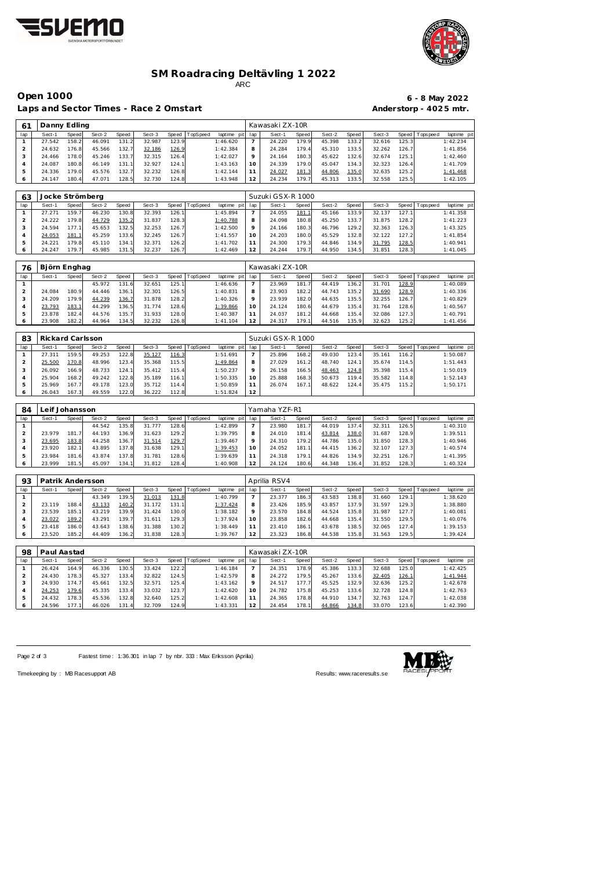



### **SM Roadracing Deltävling 1 2022** ARC

Laps and Sector Times - Race 2 Omstart **Anderstorp - 4025 mtr.** 

# **Open 1000 6 - 8 May 2022**

| 61             | Danny Edling     |                                    |        |       |        |       |          |             |                | Kawasaki ZX-10R   |       |        |       |        |                      |                   |             |
|----------------|------------------|------------------------------------|--------|-------|--------|-------|----------|-------------|----------------|-------------------|-------|--------|-------|--------|----------------------|-------------------|-------------|
| lap            | Sect-1           | Speed                              | Sect-2 | Speed | Sect-3 | Speed | TopSpeed | laptime pit | lap            | Sect-1            | Speed | Sect-2 | Speed | Sect-3 |                      | Speed   Tops peed | laptime pit |
| -1             | 27.542           | 158.2                              | 46.091 | 131.2 | 32.987 | 123.9 |          | 1:46.620    | $\overline{7}$ | 24.220            | 179.9 | 45.398 | 133.2 | 32.616 | 125.3                |                   | 1:42.234    |
| $\overline{2}$ | 24.632           | 176.8                              | 45.566 | 132.7 | 32.186 | 126.9 |          | 1:42.384    | 8              | 24.284            | 179.4 | 45.310 | 133.5 | 32.262 | 126.7                |                   | 1:41.856    |
| 3              | 24.466           | 178.0                              | 45.246 | 133.7 | 32.315 | 126.4 |          | 1:42.027    | 9              | 24.164            | 180.3 | 45.622 | 132.6 | 32.674 | 125.1                |                   | 1:42.460    |
| $\overline{4}$ | 24.087           | 180.8                              | 46.149 | 131.1 | 32.927 | 124.1 |          | 1:43.163    | 10             | 24.339            | 179.0 | 45.047 | 134.3 | 32.323 | 126.4                |                   | 1:41.709    |
| 5              | 24.336           | 179.0                              | 45.576 | 132.7 | 32.232 | 126.8 |          | 1:42.144    | 11             | 24.027            | 181.3 | 44.806 | 135.0 | 32.635 | 125.2                |                   | 1:41.468    |
| 6              | 24.147           | 180.4                              | 47.071 | 128.5 | 32.730 | 124.8 |          | 1:43.948    | 12             | 24.234            | 179.7 | 45.313 | 133.5 | 32.558 | 125.5                |                   | 1:42.105    |
|                |                  |                                    |        |       |        |       |          |             |                |                   |       |        |       |        |                      |                   |             |
| 63             | Jocke Strömberg  |                                    |        |       |        |       |          |             |                | Suzuki GSX-R 1000 |       |        |       |        |                      |                   |             |
| lap            | Sect-1           | Speed                              | Sect-2 | Speed | Sect-3 | Speed | TopSpeed | laptime pit | lap            | Sect-1            | Speed | Sect-2 | Speed | Sect-3 |                      | Speed Tops peed   | laptime pit |
| $\mathbf{1}$   | 27.271           | 159.7                              | 46.230 | 130.8 | 32.393 | 126.1 |          | 1:45.894    | $\overline{7}$ | 24.055            | 181.1 | 45.166 | 133.9 | 32.137 | 127.1                |                   | 1:41.358    |
| $\overline{2}$ | 24.222           | 179.8                              | 44.729 | 135.2 | 31.837 | 128.3 |          | 1:40.788    | 8              | 24.098            | 180.8 | 45.250 | 133.7 | 31.875 | 128.2                |                   | 1:41.223    |
| 3              | 24.594           | 177.1                              | 45.653 | 132.5 | 32.253 | 126.7 |          | 1:42.500    | $\circ$        | 24.166            | 180.3 | 46.796 | 129.2 | 32.363 | 126.3                |                   | 1:43.325    |
| $\overline{A}$ | 24.053           | 181.1                              | 45.259 | 133.6 | 32.245 | 126.7 |          | 1:41.557    | 10             | 24.203            | 180.0 | 45.529 | 132.8 | 32.122 | 127.2                |                   | 1:41.854    |
| 5              | 24.221           | 179.8                              | 45.110 | 134.1 | 32.371 | 126.2 |          | 1:41.702    | 11             | 24.300            | 179.3 | 44.846 | 134.9 | 31.795 | 128.5                |                   | 1:40.941    |
| 6              | 24.247           | 179.7                              | 45.985 | 131.5 | 32.237 | 126.7 |          | 1:42.469    | 12             | 24.244            | 179.7 | 44.950 | 134.5 | 31.851 | 128.3                |                   | 1:41.045    |
|                |                  |                                    |        |       |        |       |          |             |                |                   |       |        |       |        |                      |                   |             |
| 76             | Björn Enghag     |                                    |        |       |        |       |          |             |                | Kawasaki ZX-10R   |       |        |       |        |                      |                   |             |
| lap            | Sect-1           | Speed                              | Sect-2 | Speed | Sect-3 | Speed | TopSpeed | laptime pit | lap            | Sect-1            | Speed | Sect-2 | Speed | Sect-3 | Speed                | Tops peed         | laptime pit |
| 1              |                  |                                    | 45.972 | 131.6 | 32.651 | 125.1 |          | 1:46.636    | $\overline{7}$ | 23.969            | 181.7 | 44.419 | 136.2 | 31.701 | 128.9                |                   | 1:40.089    |
| $\overline{2}$ | 24.084           | 180.9                              | 44.446 | 136.1 | 32.301 | 126.5 |          | 1:40.831    | 8              | 23.903            | 182.2 | 44.743 | 135.2 | 31.690 | 128.9                |                   | 1:40.336    |
| 3              | 24.209           | 179.9                              | 44.239 | 136.7 | 31.878 | 128.2 |          | 1:40.326    | $\circ$        | 23.939            | 182.0 | 44.635 | 135.5 | 32.255 | 126.7                |                   | 1:40.829    |
| $\overline{4}$ | 23.793           | 183.1                              | 44.299 | 136.5 | 31.774 | 128.6 |          | 1:39.866    | 10             | 24.124            | 180.6 | 44.679 | 135.4 | 31.764 | 128.6                |                   | 1:40.567    |
| 5              | 23.878           | 182.4                              | 44.576 | 135.7 | 31.933 | 128.0 |          | 1:40.387    | 11             | 24.037            | 181.2 | 44.668 | 135.4 | 32.086 | 127.3                |                   | 1:40.791    |
| 6              | 23.908           | 182.2                              | 44.964 | 134.5 | 32.232 | 126.8 |          | 1: 41.104   | 12             | 24.317            | 179.7 | 44.516 | 135.9 | 32.623 | 125.2                |                   | 1: 41.456   |
|                |                  |                                    |        |       |        |       |          |             |                |                   |       |        |       |        |                      |                   |             |
| 83             | Rickard Carlsson |                                    |        |       |        |       |          |             |                | Suzuki GSX-R 1000 |       |        |       |        |                      |                   |             |
| lap            | Sect-1           | <b>Speed</b>                       | Sect-2 | Speed | Sect-3 | Speed | TopSpeed | laptime pit | lap            | Sect-1            | Speed | Sect-2 | Speed | Sect-3 |                      | Speed   Tops peed | laptime pit |
|                | 27.211           | $\sim$ $\sim$ $\sim$ $\sim$ $\sim$ | 10.252 | 1222  | 25.32  | 2222  |          | 1.51.01     | $\overline{a}$ | 25.001            | 1000  | 10.022 | 102.1 | 25.44  | $\sim$ $\sim$ $\sim$ |                   | 1.50.02     |

| --  |        |       |        |       |        |       |          |          |          |        |       |        |        |        |         |           |             |
|-----|--------|-------|--------|-------|--------|-------|----------|----------|----------|--------|-------|--------|--------|--------|---------|-----------|-------------|
| lap | Sect-1 | Speed | Sect-2 | Speed | Sect-3 | Speed | TopSpeed | laptime  | pit lap  | Sect-1 | Speed | Sect-2 | Speed  | Sect-3 | Speed I | Tops peed | laptime pit |
|     | 27.311 | 159.5 | 49.253 | 122.8 | 35.127 | 116.3 |          | 1:51.691 |          | 25.896 | 168.2 | 49.030 | 123.4  | 35.161 | 116.2   |           | 1:50.087    |
|     | 25.500 | 170.8 | 48.996 | 123.4 | 35.368 | 115.5 |          | 1:49.864 |          | 27.029 | 161.2 | 48.740 | 124.1  | 35.674 | 114.5   |           | 1:51.443    |
|     | 26.092 | 166.9 | 48.733 | 124.1 | 35.412 | 115.4 |          | 1:50.237 |          | 26.158 | 166.5 | 48.463 | 124.8  | 35.398 | 115.4   |           | 1:50.019    |
|     | 25.904 | 168.2 | 49.242 | 122.8 | 35.189 | 116.1 |          | 1:50.335 | $\Omega$ | 25.888 | 168.3 | 50.673 | 119.41 | 35.582 | 114.8   |           | 1:52.143    |
|     | 25.969 | 167.7 | 49.178 | 123.0 | 35.712 | 114.4 |          | 1:50.859 |          | 26.074 | 167.1 | 48.622 | 124.4  | 35.475 | 115.2   |           | 1:50.171    |
|     | 26.043 | 167.3 | 49.559 | 122.0 | 36.222 | 112.8 |          | 1:51.824 |          |        |       |        |        |        |         |           |             |

| 84  |        | eif Johansson. |        |       |        |       |          |                 |         | Yamaha YZF-R1 |              |        |        |        |        |                 |             |
|-----|--------|----------------|--------|-------|--------|-------|----------|-----------------|---------|---------------|--------------|--------|--------|--------|--------|-----------------|-------------|
| lap | Sect-1 | Speed          | Sect-2 | Speed | Sect-3 | Speed | TopSpeed | laptime pit lap |         | Sect-1        | <b>Speed</b> | Sect-2 | Speed  | Sect-3 |        | Speed Tops peed | laptime pit |
|     |        |                | 44.542 | 135.8 | 31.777 | 128.6 |          | 1:42.899        |         | 23.980        | 181.7        | 44.019 | 137.4  | 32.311 | 126.5  |                 | 1:40.310    |
|     | 23.979 | 181            | 44.193 | 136.9 | 31.623 | 129.2 |          | 1:39.795        | 8       | 24.010        | 181.4        | 43.814 | 138.0  | 31.687 | 128.9  |                 | 1:39.511    |
|     | 23.695 | 183.8          | 44.258 | 136.  | 31.514 | 129.7 |          | 1:39.467        | $\circ$ | 24.310        | 179.2        | 44.786 | 135.01 | 31.850 | 128.3  |                 | 1:40.946    |
|     | 23.920 | 182.1          | 43.895 | 137.8 | 31.638 | 129.1 |          | 1:39.453        | 10      | 24.052        | 181.11       | 44.415 | 136.2  | 32.107 | 127.3  |                 | 1:40.574    |
|     | 23.984 | 181.6          | 43.874 | 137.8 | 31.781 | 128.6 |          | 1:39.639        |         | 24.318        | 179.1        | 44.826 | 134.9  | 32.251 | 126.7  |                 | 1: 41.395   |
|     | 23.999 | 181.5          | 45.097 | 134.1 | 31.812 | 128.4 |          | 1:40.908        | 12      | 24.124        | 180.6        | 44.348 | 136.4  | 31.852 | 128.31 |                 | 1:40.324    |

| 93  | Patrik Andersson |       |        |       |        |       |          |             |         | Aprilia RSV4 |       |        |       |        |                    |                   |             |
|-----|------------------|-------|--------|-------|--------|-------|----------|-------------|---------|--------------|-------|--------|-------|--------|--------------------|-------------------|-------------|
| lap | Sect-1           | Speed | Sect-2 | Speed | Sect-3 | Speed | TopSpeed | laptime pit | lap     | Sect-1       | Speed | Sect-2 | Speed | Sect-3 |                    | Speed   Tops peed | laptime pit |
|     |                  |       | 43.349 | 139.5 | 31.013 | 131.8 |          | 1:40.799    |         | 23.377       | 186.3 | 43.583 | 138.8 | 31.660 | 129.1              |                   | 1:38.620    |
|     | 23.119           | 188.4 | 43.133 | 140.2 | 31.172 | 131.1 |          | 1:37.424    | 8       | 23.426       | 185.9 | 43.857 | 137.9 | 31.597 | 129.31             |                   | 1:38.880    |
|     | 23.539           | 185.1 | 43.219 | 139.9 | 31.424 | 130.0 |          | 1:38.182    | $\circ$ | 23.570       | 184.8 | 44.524 | 135.8 | 31.987 | 127.7 <sub>1</sub> |                   | 1:40.081    |
| 4   | 23.022           | 189.2 | 43.291 | 139.  | 31.611 | 129.3 |          | 1:37.924    | 10      | 23.858       | 182.6 | 44.668 | 135.4 | 31.550 | 129.5              |                   | 1:40.076    |
|     | 23.418           | 186.0 | 43.643 | 138.6 | 31.388 | 130.2 |          | 1:38.449    |         | 23.410       | 186.1 | 43.678 | 138.5 | 32.065 | 127.4              |                   | 1:39.153    |
|     | 23.520           | 185.2 | 44.409 | 136.2 | 31.838 | 128.3 |          | 1:39.767    |         | 23.323       | 186.8 | 44.538 | 135.8 | 31.563 | 129.5              |                   | 1:39.424    |

| 98  | Paul Aastad |       |        |       |        |       |                 |             |     | Kawasaki ZX-10R |       |        |       |        |               |                 |             |
|-----|-------------|-------|--------|-------|--------|-------|-----------------|-------------|-----|-----------------|-------|--------|-------|--------|---------------|-----------------|-------------|
| lap | Sect-1      | Speed | Sect-2 | Speed | Sect-3 | Speed | <b>TopSpeed</b> | laptime pit | lap | Sect-1          | Speed | Sect-2 | Speed | Sect-3 |               | Speed Tops peed | laptime pit |
|     | 26.424      | 164.9 | 46.336 | 130.5 | 33.424 | 122.2 |                 | 1:46.184    |     | 24.351          | 178.9 | 45.386 | 133.3 | 32.688 | 125.0         |                 | 1:42.425    |
|     | 24.430      | 178.3 | 45.327 | 133.4 | 32.822 | 124.5 |                 | 1:42.579    | 8   | 24.272          | 179.5 | 45.267 | 133.6 | 32.405 | <u> 126.1</u> |                 | 1:41.944    |
|     | 24.930      | 174.7 | 45.661 | 132.5 | 32.571 | 125.4 |                 | 1:43.162    | Q   | 24.517          | 177.7 | 45.525 | 132.9 | 32.636 | 125.2         |                 | 1:42.678    |
|     | 24.253      | 179.6 | 45.335 | 133.4 | 33.032 | 123.7 |                 | 1:42.620    | 10  | 24.782          | 175.8 | 45.253 | 133.6 | 32.728 | 124.8         |                 | 1:42.763    |
|     | 24.432      | 178.3 | 45.536 | 132.8 | 32.640 | 125.2 |                 | 1:42.608    | 11  | 24.365          | 178.8 | 44.910 | 134.  | 32.763 | 124.7         |                 | 1:42.038    |
|     | 24.596      | 177.1 | 46.026 | 131.4 | 32.709 | 124.9 |                 | 1:43.331    | 12  | 24.454          | 178.1 | 44.866 | 134.8 | 33.070 | 123.6         |                 | 1:42.390    |

Page 2 of 3 Fastest time: 1:36.301 in lap 7 by nbr. 333 : Max Eriksson (Aprilia)



Timekeeping by : MB Racesupport AB Results:<www.raceresults.se>